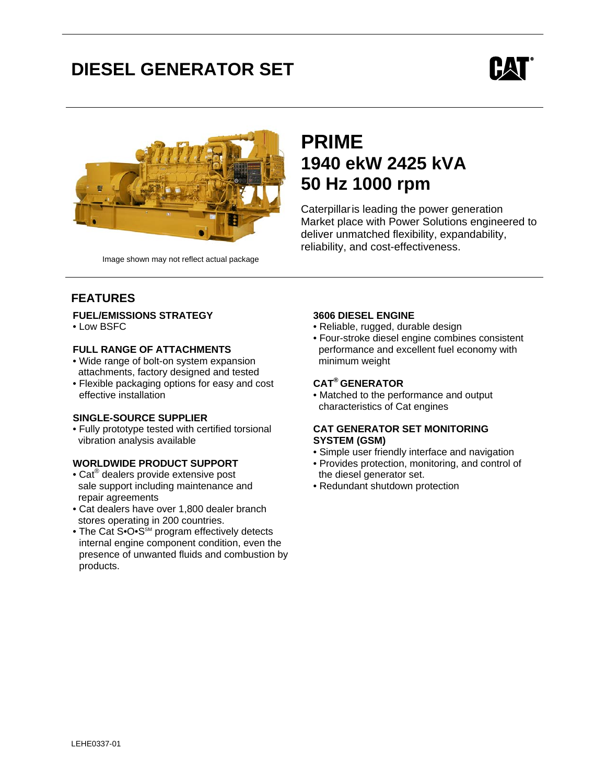# **DIESEL GENERATOR SET**





Image shown may not reflect actual package

## **PRIME 1940 ekW 2425 kVA 50 Hz 1000 rpm**

Caterpillaris leading the power generation Market place with Power Solutions engineered to deliver unmatched flexibility, expandability, reliability, and cost-effectiveness.

### **FEATURES**

#### **FUEL/EMISSIONS STRATEGY**

• Low BSFC

### **FULL RANGE OF ATTACHMENTS**

- Wide range of bolt-on system expansion attachments, factory designed and tested
- Flexible packaging options for easy and cost effective installation

#### **SINGLE-SOURCE SUPPLIER**

• Fully prototype tested with certified torsional vibration analysis available

### **WORLDWIDE PRODUCT SUPPORT**

- Cat<sup>®</sup> dealers provide extensive post sale support including maintenance and repair agreements
- Cat dealers have over 1,800 dealer branch stores operating in 200 countries.
- The Cat S• $O \cdot S^{\text{SM}}$  program effectively detects internal engine component condition, even the presence of unwanted fluids and combustion by products.

### **3606 DIESEL ENGINE**

- Reliable, rugged, durable design
- Four-stroke diesel engine combines consistent performance and excellent fuel economy with minimum weight

### **CAT® GENERATOR**

• Matched to the performance and output characteristics of Cat engines

### **CAT GENERATOR SET MONITORING SYSTEM (GSM)**

- Simple user friendly interface and navigation
- Provides protection, monitoring, and control of the diesel generator set.
- Redundant shutdown protection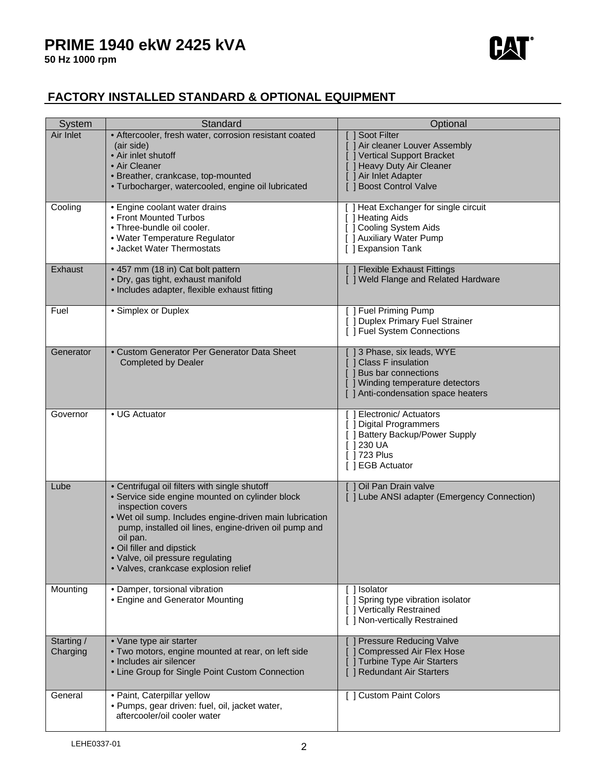

### **FACTORY INSTALLED STANDARD & OPTIONAL EQUIPMENT**

| <b>System</b>          | Standard                                                                                                                                                                                                                                                                                                                                                       | Optional                                                                                                                                                      |
|------------------------|----------------------------------------------------------------------------------------------------------------------------------------------------------------------------------------------------------------------------------------------------------------------------------------------------------------------------------------------------------------|---------------------------------------------------------------------------------------------------------------------------------------------------------------|
| Air Inlet              | • Aftercooler, fresh water, corrosion resistant coated<br>(air side)<br>• Air inlet shutoff<br>• Air Cleaner<br>· Breather, crankcase, top-mounted<br>· Turbocharger, watercooled, engine oil lubricated                                                                                                                                                       | [ ] Soot Filter<br>Air cleaner Louver Assembly<br>Vertical Support Bracket<br>[ ] Heavy Duty Air Cleaner<br>] Air Inlet Adapter<br><b>Boost Control Valve</b> |
| Cooling                | • Engine coolant water drains<br>• Front Mounted Turbos<br>• Three-bundle oil cooler.<br>• Water Temperature Regulator<br>• Jacket Water Thermostats                                                                                                                                                                                                           | [ ] Heat Exchanger for single circuit<br>[ ] Heating Aids<br>[ ] Cooling System Aids<br>[ ] Auxiliary Water Pump<br>[ ] Expansion Tank                        |
| Exhaust                | • 457 mm (18 in) Cat bolt pattern<br>· Dry, gas tight, exhaust manifold<br>• Includes adapter, flexible exhaust fitting                                                                                                                                                                                                                                        | <b>J Flexible Exhaust Fittings</b><br>[ ] Weld Flange and Related Hardware                                                                                    |
| Fuel                   | • Simplex or Duplex                                                                                                                                                                                                                                                                                                                                            | [ ] Fuel Priming Pump<br>[ ] Duplex Primary Fuel Strainer<br>[ ] Fuel System Connections                                                                      |
| Generator              | • Custom Generator Per Generator Data Sheet<br><b>Completed by Dealer</b>                                                                                                                                                                                                                                                                                      | [] 3 Phase, six leads, WYE<br>[ ] Class F insulation<br>[ ] Bus bar connections<br>[ ] Winding temperature detectors<br>[ ] Anti-condensation space heaters   |
| Governor               | • UG Actuator                                                                                                                                                                                                                                                                                                                                                  | [] Electronic/ Actuators<br>] Digital Programmers<br>[ ] Battery Backup/Power Supply<br>$\lceil$ 1230 UA<br>[ 1723 Plus<br>[] EGB Actuator                    |
| Lube                   | • Centrifugal oil filters with single shutoff<br>· Service side engine mounted on cylinder block<br>inspection covers<br>. Wet oil sump. Includes engine-driven main lubrication<br>pump, installed oil lines, engine-driven oil pump and<br>oil pan.<br>• Oil filler and dipstick<br>· Valve, oil pressure regulating<br>· Valves, crankcase explosion relief | [ ] Oil Pan Drain valve<br>[ ] Lube ANSI adapter (Emergency Connection)                                                                                       |
| Mounting               | · Damper, torsional vibration<br>• Engine and Generator Mounting                                                                                                                                                                                                                                                                                               | ] Isolator<br>[ ] Spring type vibration isolator<br>[ ] Vertically Restrained<br>[ ] Non-vertically Restrained                                                |
| Starting /<br>Charging | • Vane type air starter<br>. Two motors, engine mounted at rear, on left side<br>• Includes air silencer<br>• Line Group for Single Point Custom Connection                                                                                                                                                                                                    | <b>Pressure Reducing Valve</b><br><b>Compressed Air Flex Hose</b><br><b>Turbine Type Air Starters</b><br>] Redundant Air Starters                             |
| General                | · Paint, Caterpillar yellow<br>· Pumps, gear driven: fuel, oil, jacket water,<br>aftercooler/oil cooler water                                                                                                                                                                                                                                                  | [ ] Custom Paint Colors                                                                                                                                       |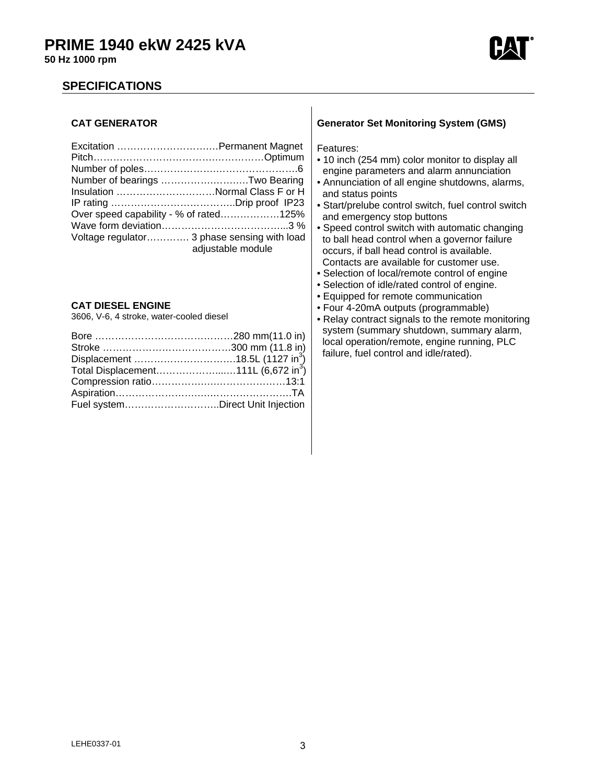

### **SPECIFICATIONS**

### **CAT GENERATOR**

| Number of bearings Two Bearing              |                   |
|---------------------------------------------|-------------------|
| Insulation Normal Class F or H              |                   |
|                                             |                   |
| Over speed capability - % of rated125%      |                   |
|                                             |                   |
| Voltage regulator 3 phase sensing with load | adjustable module |

### **CAT DIESEL ENGINE**

3606, V-6, 4 stroke, water-cooled diesel

| Displacement 18.5L (1127 in <sup>3</sup> )      |  |
|-------------------------------------------------|--|
| Total Displacement111L (6,672 in <sup>3</sup> ) |  |
|                                                 |  |
|                                                 |  |
| Fuel systemDirect Unit Injection                |  |

### **Generator Set Monitoring System (GMS)**

Features:

- 10 inch (254 mm) color monitor to display all engine parameters and alarm annunciation
- Annunciation of all engine shutdowns, alarms, and status points
- Start/prelube control switch, fuel control switch and emergency stop buttons
- Speed control switch with automatic changing to ball head control when a governor failure occurs, if ball head control is available. Contacts are available for customer use.
- Selection of local/remote control of engine
- Selection of idle/rated control of engine.
- Equipped for remote communication
- Four 4-20mA outputs (programmable)
- Relay contract signals to the remote monitoring system (summary shutdown, summary alarm, local operation/remote, engine running, PLC failure, fuel control and idle/rated).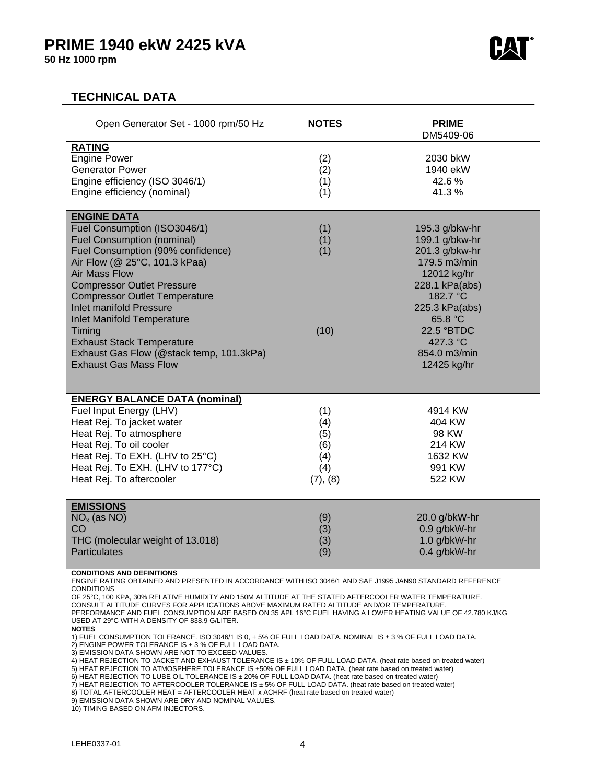

### **TECHNICAL DATA**

| Open Generator Set - 1000 rpm/50 Hz                                                                                                                                                                                                                                                                                                                                                                                                                                 | <b>NOTES</b>                                       | <b>PRIME</b>                                                                                                                                                                                          |
|---------------------------------------------------------------------------------------------------------------------------------------------------------------------------------------------------------------------------------------------------------------------------------------------------------------------------------------------------------------------------------------------------------------------------------------------------------------------|----------------------------------------------------|-------------------------------------------------------------------------------------------------------------------------------------------------------------------------------------------------------|
| <b>RATING</b><br><b>Engine Power</b><br><b>Generator Power</b><br>Engine efficiency (ISO 3046/1)<br>Engine efficiency (nominal)                                                                                                                                                                                                                                                                                                                                     | (2)<br>(2)<br>(1)<br>(1)                           | DM5409-06<br>2030 bkW<br>1940 ekW<br>42.6%<br>41.3%                                                                                                                                                   |
| <b>ENGINE DATA</b><br>Fuel Consumption (ISO3046/1)<br><b>Fuel Consumption (nominal)</b><br>Fuel Consumption (90% confidence)<br>Air Flow (@ 25°C, 101.3 kPaa)<br><b>Air Mass Flow</b><br><b>Compressor Outlet Pressure</b><br><b>Compressor Outlet Temperature</b><br><b>Inlet manifold Pressure</b><br><b>Inlet Manifold Temperature</b><br>Timing<br><b>Exhaust Stack Temperature</b><br>Exhaust Gas Flow (@stack temp, 101.3kPa)<br><b>Exhaust Gas Mass Flow</b> | (1)<br>(1)<br>(1)<br>(10)                          | 195.3 g/bkw-hr<br>199.1 g/bkw-hr<br>201.3 g/bkw-hr<br>179.5 m3/min<br>12012 kg/hr<br>228.1 kPa(abs)<br>182.7 °C<br>225.3 kPa(abs)<br>65.8 °C<br>22.5 °BTDC<br>427.3 °C<br>854.0 m3/min<br>12425 kg/hr |
| <b>ENERGY BALANCE DATA (nominal)</b><br>Fuel Input Energy (LHV)<br>Heat Rej. To jacket water<br>Heat Rej. To atmosphere<br>Heat Rej. To oil cooler<br>Heat Rej. To EXH. (LHV to 25°C)<br>Heat Rej. To EXH. (LHV to 177°C)<br>Heat Rej. To aftercooler                                                                                                                                                                                                               | (1)<br>(4)<br>(5)<br>(6)<br>(4)<br>(4)<br>(7), (8) | 4914 KW<br>404 KW<br>98 KW<br>214 KW<br>1632 KW<br>991 KW<br>522 KW                                                                                                                                   |
| <b>EMISSIONS</b><br>$NOx$ (as NO)<br>CO<br>THC (molecular weight of 13.018)<br><b>Particulates</b>                                                                                                                                                                                                                                                                                                                                                                  | (9)<br>(3)<br>(3)<br>(9)                           | 20.0 g/bkW-hr<br>0.9 g/bkW-hr<br>1.0 g/bkW-hr<br>0.4 g/bkW-hr                                                                                                                                         |

#### **CONDITIONS AND DEFINITIONS**

ENGINE RATING OBTAINED AND PRESENTED IN ACCORDANCE WITH ISO 3046/1 AND SAE J1995 JAN90 STANDARD REFERENCE **CONDITIONS** 

OF 25°C, 100 KPA, 30% RELATIVE HUMIDITY AND 150M ALTITUDE AT THE STATED AFTERCOOLER WATER TEMPERATURE.

CONSULT ALTITUDE CURVES FOR APPLICATIONS ABOVE MAXIMUM RATED ALTITUDE AND/OR TEMPERATURE.

PERFORMANCE AND FUEL CONSUMPTION ARE BASED ON 35 API, 16°C FUEL HAVING A LOWER HEATING VALUE OF 42.780 KJ/KG USED AT 29°C WITH A DENSITY OF 838.9 G/LITER.

**NOTES** 

1) FUEL CONSUMPTION TOLERANCE. ISO 3046/1 IS 0, + 5% OF FULL LOAD DATA. NOMINAL IS ± 3 % OF FULL LOAD DATA.

2) ENGINE POWER TOLERANCE IS ± 3 % OF FULL LOAD DATA.

3) EMISSION DATA SHOWN ARE NOT TO EXCEED VALUES.

4) HEAT REJECTION TO JACKET AND EXHAUST TOLERANCE IS ± 10% OF FULL LOAD DATA. (heat rate based on treated water)

5) HEAT REJECTION TO ATMOSPHERE TOLERANCE IS ±50% OF FULL LOAD DATA. (heat rate based on treated water)

6) HEAT REJECTION TO LUBE OIL TOLERANCE IS ± 20% OF FULL LOAD DATA. (heat rate based on treated water)

7) HEAT REJECTION TO AFTERCOOLER TOLERANCE IS ± 5% OF FULL LOAD DATA. (heat rate based on treated water)

8) TOTAL AFTERCOOLER HEAT = AFTERCOOLER HEAT x ACHRF (heat rate based on treated water)

9) EMISSION DATA SHOWN ARE DRY AND NOMINAL VALUES.

10) TIMING BASED ON AFM INJECTORS.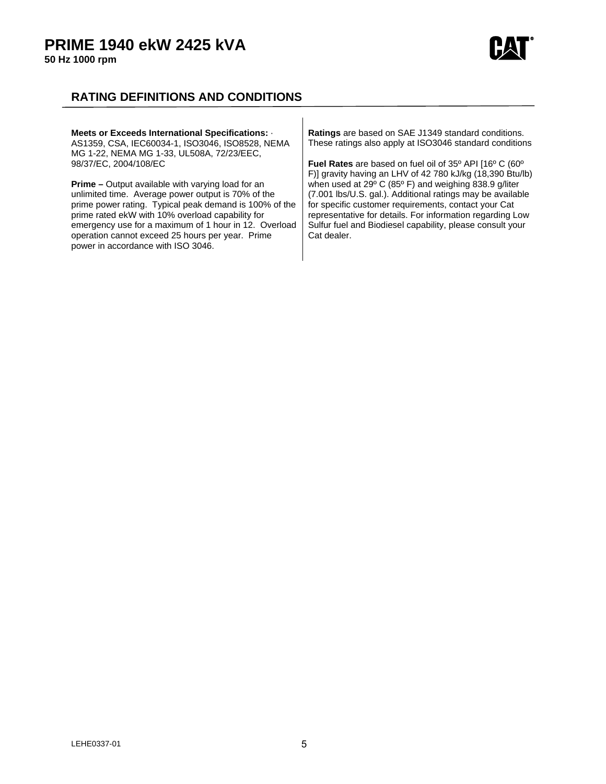

### **RATING DEFINITIONS AND CONDITIONS**

| Meets or Exceeds International Specifications: .<br>AS1359, CSA, IEC60034-1, ISO3046, ISO8528, NEMA<br>MG 1-22, NEMA MG 1-33, UL508A, 72/23/EEC,                                                                                                                                                                                                                                | Ratings are based on SAE J1349 standard conditions.<br>These ratings also apply at ISO3046 standard conditions                                                                                                                                                                                                                                                                    |
|---------------------------------------------------------------------------------------------------------------------------------------------------------------------------------------------------------------------------------------------------------------------------------------------------------------------------------------------------------------------------------|-----------------------------------------------------------------------------------------------------------------------------------------------------------------------------------------------------------------------------------------------------------------------------------------------------------------------------------------------------------------------------------|
| 98/37/EC, 2004/108/EC                                                                                                                                                                                                                                                                                                                                                           | <b>Fuel Rates</b> are based on fuel oil of 35° API [16° C (60°                                                                                                                                                                                                                                                                                                                    |
| <b>Prime</b> – Output available with varying load for an<br>unlimited time. Average power output is 70% of the<br>prime power rating. Typical peak demand is 100% of the<br>prime rated ekW with 10% overload capability for<br>emergency use for a maximum of 1 hour in 12. Overload<br>operation cannot exceed 25 hours per year. Prime<br>power in accordance with ISO 3046. | F)] gravity having an LHV of 42 780 kJ/kg (18,390 Btu/lb)<br>when used at 29° C (85° F) and weighing 838.9 g/liter<br>(7.001 lbs/U.S. gal.). Additional ratings may be available<br>for specific customer requirements, contact your Cat<br>representative for details. For information regarding Low<br>Sulfur fuel and Biodiesel capability, please consult your<br>Cat dealer. |